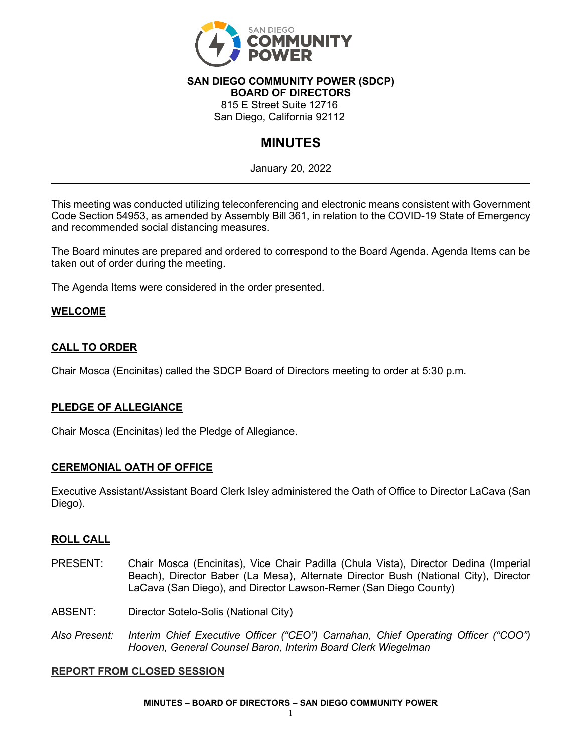

#### **SAN DIEGO COMMUNITY POWER (SDCP) BOARD OF DIRECTORS**

815 E Street Suite 12716

San Diego, California 92112

# **MINUTES**

January 20, 2022

This meeting was conducted utilizing teleconferencing and electronic means consistent with Government Code Section 54953, as amended by Assembly Bill 361, in relation to the COVID-19 State of Emergency and recommended social distancing measures.

The Board minutes are prepared and ordered to correspond to the Board Agenda. Agenda Items can be taken out of order during the meeting.

The Agenda Items were considered in the order presented.

## **WELCOME**

## **CALL TO ORDER**

Chair Mosca (Encinitas) called the SDCP Board of Directors meeting to order at 5:30 p.m.

## **PLEDGE OF ALLEGIANCE**

Chair Mosca (Encinitas) led the Pledge of Allegiance.

#### **CEREMONIAL OATH OF OFFICE**

Executive Assistant/Assistant Board Clerk Isley administered the Oath of Office to Director LaCava (San Diego).

#### **ROLL CALL**

- PRESENT: Chair Mosca (Encinitas), Vice Chair Padilla (Chula Vista), Director Dedina (Imperial Beach), Director Baber (La Mesa), Alternate Director Bush (National City), Director LaCava (San Diego), and Director Lawson-Remer (San Diego County)
- ABSENT: Director Sotelo-Solis (National City)
- *Also Present: Interim Chief Executive Officer ("CEO") Carnahan, Chief Operating Officer ("COO") Hooven, General Counsel Baron, Interim Board Clerk Wiegelman*

#### **REPORT FROM CLOSED SESSION**

**MINUTES – BOARD OF DIRECTORS – SAN DIEGO COMMUNITY POWER**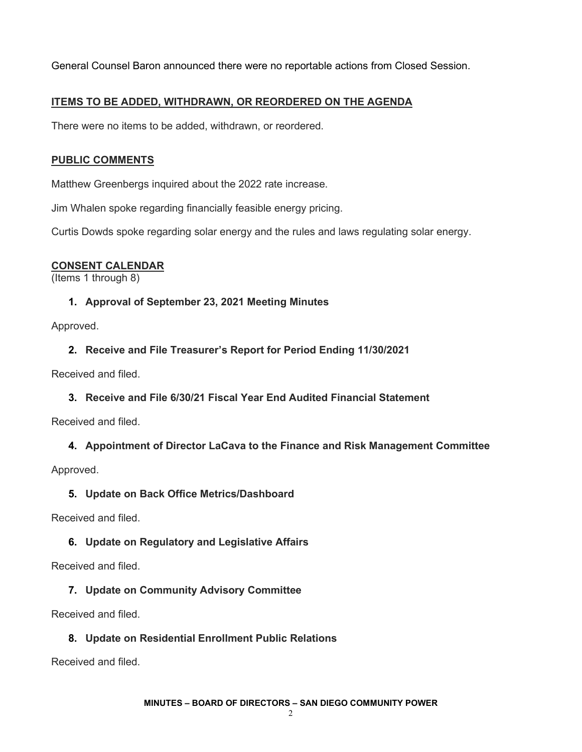General Counsel Baron announced there were no reportable actions from Closed Session.

## **ITEMS TO BE ADDED, WITHDRAWN, OR REORDERED ON THE AGENDA**

There were no items to be added, withdrawn, or reordered.

### **PUBLIC COMMENTS**

Matthew Greenbergs inquired about the 2022 rate increase.

Jim Whalen spoke regarding financially feasible energy pricing.

Curtis Dowds spoke regarding solar energy and the rules and laws regulating solar energy.

## **CONSENT CALENDAR**

(Items 1 through 8)

## **1. Approval of September 23, 2021 Meeting Minutes**

Approved.

**2. Receive and File Treasurer's Report for Period Ending 11/30/2021**

Received and filed.

**3. Receive and File 6/30/21 Fiscal Year End Audited Financial Statement**

Received and filed.

## **4. Appointment of Director LaCava to the Finance and Risk Management Committee**

Approved.

#### **5. Update on Back Office Metrics/Dashboard**

Received and filed.

## **6. Update on Regulatory and Legislative Affairs**

Received and filed.

## **7. Update on Community Advisory Committee**

Received and filed.

## **8. Update on Residential Enrollment Public Relations**

Received and filed.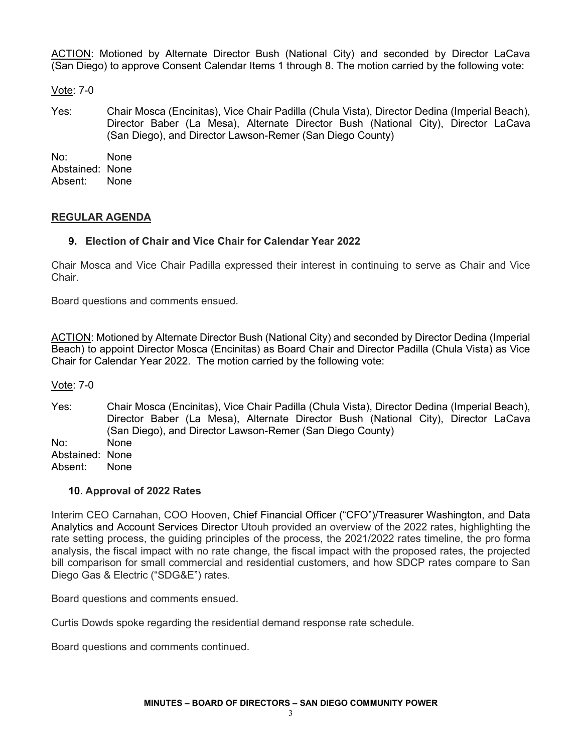ACTION: Motioned by Alternate Director Bush (National City) and seconded by Director LaCava (San Diego) to approve Consent Calendar Items 1 through 8. The motion carried by the following vote:

Vote: 7-0

Yes: Chair Mosca (Encinitas), Vice Chair Padilla (Chula Vista), Director Dedina (Imperial Beach), Director Baber (La Mesa), Alternate Director Bush (National City), Director LaCava (San Diego), and Director Lawson-Remer (San Diego County)

No: None Abstained: None Absent: None

### **REGULAR AGENDA**

### **9. Election of Chair and Vice Chair for Calendar Year 2022**

Chair Mosca and Vice Chair Padilla expressed their interest in continuing to serve as Chair and Vice **Chair** 

Board questions and comments ensued.

ACTION: Motioned by Alternate Director Bush (National City) and seconded by Director Dedina (Imperial Beach) to appoint Director Mosca (Encinitas) as Board Chair and Director Padilla (Chula Vista) as Vice Chair for Calendar Year 2022. The motion carried by the following vote:

Vote: 7-0

Yes: Chair Mosca (Encinitas), Vice Chair Padilla (Chula Vista), Director Dedina (Imperial Beach), Director Baber (La Mesa), Alternate Director Bush (National City), Director LaCava (San Diego), and Director Lawson-Remer (San Diego County)

No: None

Abstained: None

Absent: None

#### **10. Approval of 2022 Rates**

Interim CEO Carnahan, COO Hooven, Chief Financial Officer ("CFO")/Treasurer Washington, and Data Analytics and Account Services Director Utouh provided an overview of the 2022 rates, highlighting the rate setting process, the guiding principles of the process, the 2021/2022 rates timeline, the pro forma analysis, the fiscal impact with no rate change, the fiscal impact with the proposed rates, the projected bill comparison for small commercial and residential customers, and how SDCP rates compare to San Diego Gas & Electric ("SDG&E") rates.

Board questions and comments ensued.

Curtis Dowds spoke regarding the residential demand response rate schedule.

Board questions and comments continued.